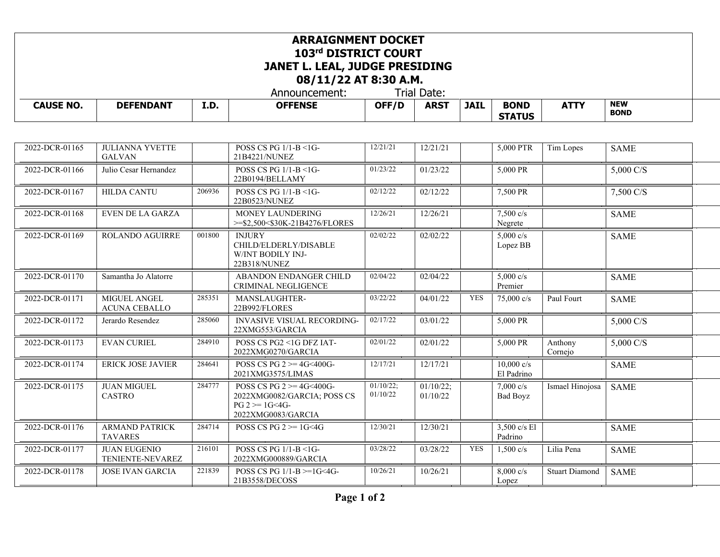## **ARRAIGNMENT DOCKET 103rd DISTRICT COURT JANET L. LEAL, JUDGE PRESIDING 08/11/22 AT 8:30 A.M.**

Announcement: Trial Date:<br> **OFFENSE** | OFF/D | ARST

**CAUSE NO. DEFENDANT I.D. OFFENSE OFF/D ARST JAIL BOND** 

**ATTY NEW** 

**STATUS**

**BOND**

| 2022-DCR-01165 | <b>JULIANNA YVETTE</b><br><b>GALVAN</b> |        | POSS CS PG 1/1-B <1G-<br>21B4221/NUNEZ                                                                       | 12/21/21              | 12/21/21              |            | 5,000 PTR                              | Tim Lopes             | <b>SAME</b>         |  |
|----------------|-----------------------------------------|--------|--------------------------------------------------------------------------------------------------------------|-----------------------|-----------------------|------------|----------------------------------------|-----------------------|---------------------|--|
| 2022-DCR-01166 | Julio Cesar Hernandez                   |        | POSS CS PG 1/1-B <1G-<br>22B0194/BELLAMY                                                                     | 01/23/22              | 01/23/22              |            | 5,000 PR                               |                       | 5,000 C/S           |  |
| 2022-DCR-01167 | <b>HILDA CANTU</b>                      | 206936 | POSS CS PG $1/1-B < 1$ G-<br>22B0523/NUNEZ                                                                   | 02/12/22              | 02/12/22              |            | 7,500 PR                               |                       | 7,500 C/S           |  |
| 2022-DCR-01168 | <b>EVEN DE LA GARZA</b>                 |        | MONEY LAUNDERING<br>>=\$2,500<\$30K-21B4276/FLORES                                                           | 12/26/21              | 12/26/21              |            | $7.500 \text{ c/s}$<br>Negrete         |                       | <b>SAME</b>         |  |
| 2022-DCR-01169 | ROLANDO AGUIRRE                         | 001800 | <b>INJURY</b><br>CHILD/ELDERLY/DISABLE<br>W/INT BODILY INJ-<br>22B318/NUNEZ                                  | 02/02/22              | 02/02/22              |            | $5,000 \text{ c/s}$<br>Lopez BB        |                       | <b>SAME</b>         |  |
| 2022-DCR-01170 | Samantha Jo Alatorre                    |        | ABANDON ENDANGER CHILD<br><b>CRIMINAL NEGLIGENCE</b>                                                         | 02/04/22              | 02/04/22              |            | 5,000 $c/s$<br>Premier                 |                       | <b>SAME</b>         |  |
| 2022-DCR-01171 | MIGUEL ANGEL<br><b>ACUNA CEBALLO</b>    | 285351 | MANSLAUGHTER-<br>22B992/FLORES                                                                               | 03/22/22              | 04/01/22              | <b>YES</b> | 75,000 c/s                             | Paul Fourt            | <b>SAME</b>         |  |
| 2022-DCR-01172 | Jerardo Resendez                        | 285060 | <b>INVASIVE VISUAL RECORDING-</b><br>22XMG553/GARCIA                                                         | 02/17/22              | $\sqrt{03}/01/22$     |            | 5,000 PR                               |                       | 5,000 C/S           |  |
| 2022-DCR-01173 | <b>EVAN CURIEL</b>                      | 284910 | POSS CS PG2 <1G DFZ IAT-<br>2022XMG0270/GARCIA                                                               | 02/01/22              | 02/01/22              |            | 5,000 PR                               | Anthony<br>Cornejo    | $5,000 \text{ C/S}$ |  |
| 2022-DCR-01174 | <b>ERICK JOSE JAVIER</b>                | 284641 | POSS CS PG $2 \ge 4$ G<400G-<br>2021XMG3575/LIMAS                                                            | 12/17/21              | 12/17/21              |            | $10,000 \text{ c/s}$<br>El Padrino     |                       | <b>SAME</b>         |  |
| 2022-DCR-01175 | <b>JUAN MIGUEL</b><br>CASTRO            | 284777 | POSS CS PG $2 \geq 4$ G<400G-<br>2022XMG0082/GARCIA; POSS CS<br>$PG 2 \geq 1G \leq 4G$<br>2022XMG0083/GARCIA | 01/10/22;<br>01/10/22 | 01/10/22;<br>01/10/22 |            | $7,000 \text{ c/s}$<br><b>Bad Boyz</b> | Ismael Hinojosa       | <b>SAME</b>         |  |
| 2022-DCR-01176 | <b>ARMAND PATRICK</b><br><b>TAVARES</b> | 284714 | POSS CS PG $2 \ge 1$ G $\le$ 4G                                                                              | 12/30/21              | 12/30/21              |            | 3,500 c/s El<br>Padrino                |                       | <b>SAME</b>         |  |
| 2022-DCR-01177 | <b>JUAN EUGENIO</b><br>TENIENTE-NEVAREZ | 216101 | POSS CS PG $1/1-B < 1G$<br>2022XMG000889/GARCIA                                                              | 03/28/22              | 03/28/22              | <b>YES</b> | $1,500 \text{ c/s}$                    | Lilia Pena            | <b>SAME</b>         |  |
| 2022-DCR-01178 | <b>JOSE IVAN GARCIA</b>                 | 221839 | POSS CS PG $1/1-B \geq 1$ G<4G-<br>21B3558/DECOSS                                                            | 10/26/21              | 10/26/21              |            | $8,000 \text{ c/s}$<br>Lopez           | <b>Stuart Diamond</b> | <b>SAME</b>         |  |